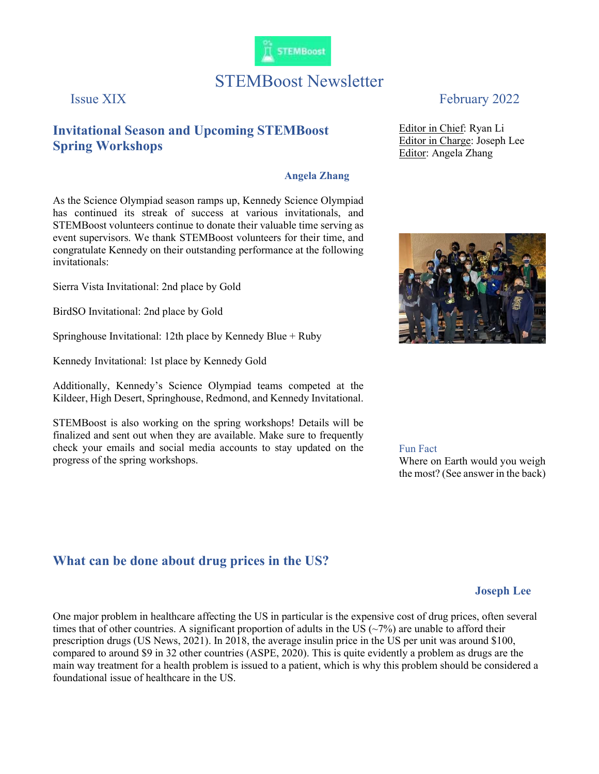

# STEMBoost Newsletter

# Invitational Season and Upcoming STEMBoost Spring Workshops

#### Angela Zhang

As the Science Olympiad season ramps up, Kennedy Science Olympiad has continued its streak of success at various invitationals, and STEMBoost volunteers continue to donate their valuable time serving as event supervisors. We thank STEMBoost volunteers for their time, and congratulate Kennedy on their outstanding performance at the following invitationals:

Sierra Vista Invitational: 2nd place by Gold

BirdSO Invitational: 2nd place by Gold

Springhouse Invitational: 12th place by Kennedy Blue + Ruby

Kennedy Invitational: 1st place by Kennedy Gold

Additionally, Kennedy's Science Olympiad teams competed at the Kildeer, High Desert, Springhouse, Redmond, and Kennedy Invitational.

STEMBoost is also working on the spring workshops! Details will be finalized and sent out when they are available. Make sure to frequently check your emails and social media accounts to stay updated on the progress of the spring workshops.

### What can be done about drug prices in the US?

## Issue XIX February 2022

Editor in Chief: Ryan Li Editor in Charge: Joseph Lee Editor: Angela Zhang



Fun Fact

Where on Earth would you weigh the most? (See answer in the back)

### Joseph Lee

One major problem in healthcare affecting the US in particular is the expensive cost of drug prices, often several times that of other countries. A significant proportion of adults in the US ( $\sim$ 7%) are unable to afford their prescription drugs (US News, 2021). In 2018, the average insulin price in the US per unit was around \$100, compared to around \$9 in 32 other countries (ASPE, 2020). This is quite evidently a problem as drugs are the main way treatment for a health problem is issued to a patient, which is why this problem should be considered a foundational issue of healthcare in the US.